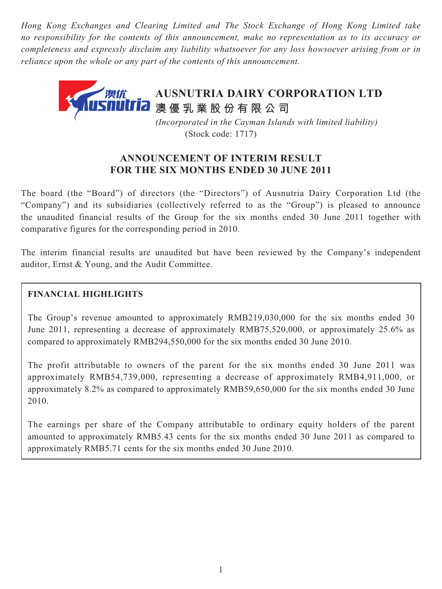*Hong Kong Exchanges and Clearing Limited and The Stock Exchange of Hong Kong Limited take no responsibility for the contents of this announcement, make no representation as to its accuracy or completeness and expressly disclaim any liability whatsoever for any loss howsoever arising from or in reliance upon the whole or any part of the contents of this announcement.*



 *(Incorporated in the Cayman Islands with limited liability)* (Stock code: 1717)

# **ANNOUNCEMENT OF INTERIM RESULT FOR THE SIX MONTHS ENDED 30 JUNE 2011**

The board (the "Board") of directors (the "Directors") of Ausnutria Dairy Corporation Ltd (the "Company") and its subsidiaries (collectively referred to as the "Group") is pleased to announce the unaudited financial results of the Group for the six months ended 30 June 2011 together with comparative figures for the corresponding period in 2010.

The interim financial results are unaudited but have been reviewed by the Company's independent auditor, Ernst & Young, and the Audit Committee.

# **FINANCIAL HIGHLIGHTS**

The Group's revenue amounted to approximately RMB219,030,000 for the six months ended 30 June 2011, representing a decrease of approximately RMB75,520,000, or approximately 25.6% as compared to approximately RMB294,550,000 for the six months ended 30 June 2010.

The profit attributable to owners of the parent for the six months ended 30 June 2011 was approximately RMB54,739,000, representing a decrease of approximately RMB4,911,000, or approximately 8.2% as compared to approximately RMB59,650,000 for the six months ended 30 June 2010.

The earnings per share of the Company attributable to ordinary equity holders of the parent amounted to approximately RMB5.43 cents for the six months ended 30 June 2011 as compared to approximately RMB5.71 cents for the six months ended 30 June 2010.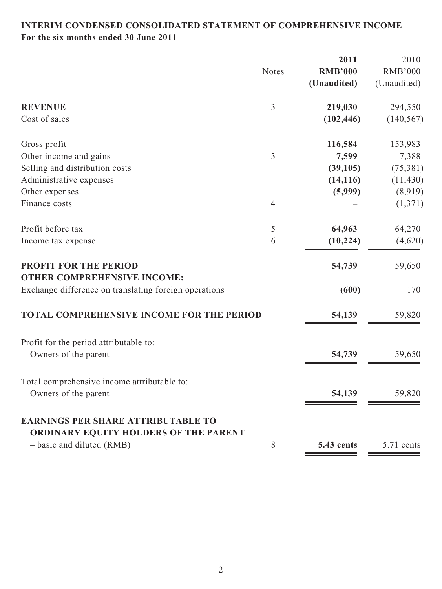# **INTERIM CONDENSED CONSOLIDATED STATEMENT OF COMPREHENSIVE INCOME For the six months ended 30 June 2011**

|                                                                                             |                | 2011           | 2010           |
|---------------------------------------------------------------------------------------------|----------------|----------------|----------------|
|                                                                                             | <b>Notes</b>   | <b>RMB'000</b> | <b>RMB'000</b> |
|                                                                                             |                | (Unaudited)    | (Unaudited)    |
| <b>REVENUE</b>                                                                              | $\overline{3}$ | 219,030        | 294,550        |
| Cost of sales                                                                               |                | (102, 446)     | (140, 567)     |
| Gross profit                                                                                |                | 116,584        | 153,983        |
| Other income and gains                                                                      | 3              | 7,599          | 7,388          |
| Selling and distribution costs                                                              |                | (39,105)       | (75, 381)      |
| Administrative expenses                                                                     |                | (14, 116)      | (11, 430)      |
| Other expenses                                                                              |                | (5,999)        | (8,919)        |
| Finance costs                                                                               | $\overline{4}$ |                | (1,371)        |
| Profit before tax                                                                           | 5              | 64,963         | 64,270         |
| Income tax expense                                                                          | 6              | (10, 224)      | (4,620)        |
| PROFIT FOR THE PERIOD                                                                       |                | 54,739         | 59,650         |
| <b>OTHER COMPREHENSIVE INCOME:</b><br>Exchange difference on translating foreign operations |                | (600)          | 170            |
| <b>TOTAL COMPREHENSIVE INCOME FOR THE PERIOD</b>                                            |                | 54,139         | 59,820         |
| Profit for the period attributable to:                                                      |                |                |                |
| Owners of the parent                                                                        |                | 54,739         | 59,650         |
| Total comprehensive income attributable to:                                                 |                |                |                |
| Owners of the parent                                                                        |                | 54,139         | 59,820         |
| <b>EARNINGS PER SHARE ATTRIBUTABLE TO</b>                                                   |                |                |                |
| ORDINARY EQUITY HOLDERS OF THE PARENT<br>- basic and diluted (RMB)                          | 8              | 5.43 cents     | 5.71 cents     |
|                                                                                             |                |                |                |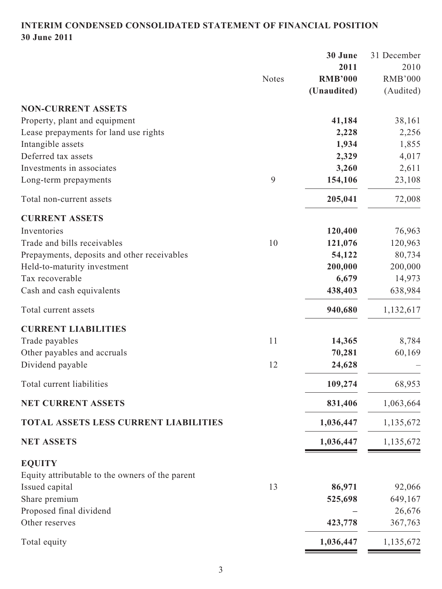# **INTERIM CONDENSED CONSOLIDATED STATEMENT OF FINANCIAL POSITION 30 June 2011**

|                                                           | 2010           |
|-----------------------------------------------------------|----------------|
| 2011                                                      |                |
| <b>Notes</b><br><b>RMB'000</b>                            | <b>RMB'000</b> |
| (Unaudited)                                               | (Audited)      |
| <b>NON-CURRENT ASSETS</b>                                 |                |
| Property, plant and equipment<br>41,184                   | 38,161         |
| Lease prepayments for land use rights<br>2,228            | 2,256          |
| 1,934<br>Intangible assets                                | 1,855          |
| Deferred tax assets<br>2,329                              | 4,017          |
| Investments in associates<br>3,260                        | 2,611          |
| 9<br>154,106<br>Long-term prepayments                     | 23,108         |
| 205,041<br>Total non-current assets                       | 72,008         |
| <b>CURRENT ASSETS</b>                                     |                |
| Inventories<br>120,400                                    | 76,963         |
| Trade and bills receivables<br>10<br>121,076              | 120,963        |
| 54,122<br>Prepayments, deposits and other receivables     | 80,734         |
| 200,000<br>Held-to-maturity investment                    | 200,000        |
| Tax recoverable<br>6,679                                  | 14,973         |
| 438,403<br>Cash and cash equivalents                      | 638,984        |
| 940,680<br>Total current assets                           | 1,132,617      |
| <b>CURRENT LIABILITIES</b>                                |                |
| 11<br>14,365<br>Trade payables                            | 8,784          |
| Other payables and accruals<br>70,281                     | 60,169         |
| Dividend payable<br>12<br>24,628                          |                |
| 109,274<br>Total current liabilities                      | 68,953         |
| <b>NET CURRENT ASSETS</b><br>831,406                      | 1,063,664      |
| <b>TOTAL ASSETS LESS CURRENT LIABILITIES</b><br>1,036,447 | 1,135,672      |
| 1,036,447<br><b>NET ASSETS</b>                            | 1,135,672      |
| <b>EQUITY</b>                                             |                |
| Equity attributable to the owners of the parent           |                |
| Issued capital<br>13<br>86,971                            | 92,066         |
| Share premium<br>525,698                                  | 649,167        |
| Proposed final dividend                                   | 26,676         |
| Other reserves<br>423,778                                 | 367,763        |
| 1,036,447<br>Total equity                                 | 1,135,672      |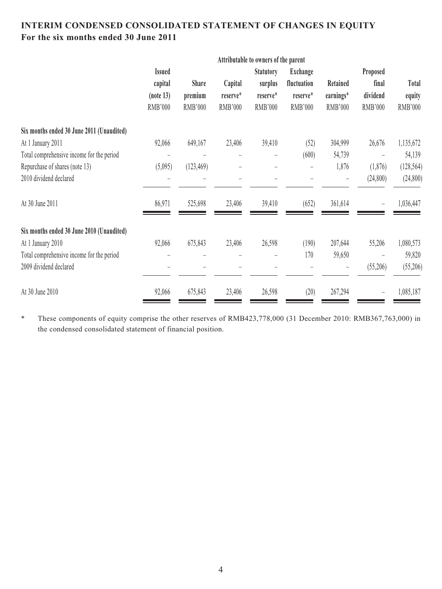# **INTERIM CONDENSED CONSOLIDATED STATEMENT OF CHANGES IN EQUITY For the six months ended 30 June 2011**

| <b>Issued</b>  |                |          | <b>Statutory</b> | <b>Exchange</b>          |                                      | Proposed                 |                |
|----------------|----------------|----------|------------------|--------------------------|--------------------------------------|--------------------------|----------------|
| capital        | <b>Share</b>   | Capital  | surplus          | fluctuation              | Retained                             | final                    | Total          |
| (note 13)      | premium        | reserve* | reserve*         | reserve*                 | earnings*                            | dividend                 | equity         |
| <b>RMB'000</b> | <b>RMB'000</b> | RMB'000  | <b>RMB'000</b>   | RMB'000                  | RMB'000                              | <b>RMB'000</b>           | <b>RMB'000</b> |
|                |                |          |                  |                          |                                      |                          |                |
| 92,066         | 649,167        | 23,406   | 39,410           | (52)                     | 304,999                              | 26,676                   | 1,135,672      |
|                |                |          |                  | (600)                    | 54,739                               |                          | 54,139         |
| (5,095)        | (123, 469)     |          |                  | $\overline{\phantom{0}}$ | 1,876                                | (1,876)                  | (128, 564)     |
|                |                |          |                  |                          |                                      | (24, 800)                | (24, 800)      |
| 86,971         | 525,698        | 23,406   | 39,410           | (652)                    | 361,614                              |                          | 1,036,447      |
|                |                |          |                  |                          |                                      |                          |                |
| 92,066         | 675,843        | 23,406   | 26,598           | (190)                    | 207,644                              | 55,206                   | 1,080,573      |
|                |                |          |                  | 170                      | 59,650                               | $\overline{\phantom{0}}$ | 59,820         |
|                |                |          |                  |                          |                                      | (55,206)                 | (55,206)       |
| 92,066         | 675,843        | 23,406   | 26,598           | (20)                     | 267,294                              |                          | 1,085,187      |
|                |                |          |                  |                          | Attributable to owners of the parent |                          |                |

\* These components of equity comprise the other reserves of RMB423,778,000 (31 December 2010: RMB367,763,000) in the condensed consolidated statement of financial position.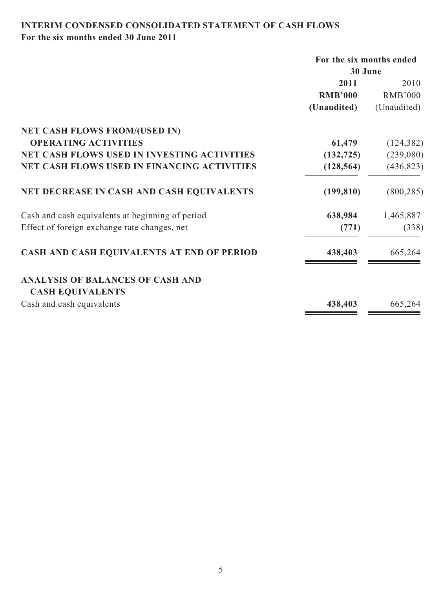# **INTERIM CONDENSED CONSOLIDATED STATEMENT OF CASH FLOWS For the six months ended 30 June 2011**

|                                                    | For the six months ended |                |  |
|----------------------------------------------------|--------------------------|----------------|--|
|                                                    | 30 June                  |                |  |
|                                                    | 2011                     | 2010           |  |
|                                                    | <b>RMB'000</b>           | <b>RMB'000</b> |  |
|                                                    | (Unaudited)              | (Unaudited)    |  |
| <b>NET CASH FLOWS FROM/(USED IN)</b>               |                          |                |  |
| <b>OPERATING ACTIVITIES</b>                        | 61,479                   | (124, 382)     |  |
| NET CASH FLOWS USED IN INVESTING ACTIVITIES        | (132, 725)               | (239,080)      |  |
| <b>NET CASH FLOWS USED IN FINANCING ACTIVITIES</b> | (128, 564)               | (436, 823)     |  |
| NET DECREASE IN CASH AND CASH EQUIVALENTS          | (199, 810)               | (800, 285)     |  |
| Cash and cash equivalents at beginning of period   | 638,984                  | 1,465,887      |  |
| Effect of foreign exchange rate changes, net       | (771)                    | (338)          |  |
| CASH AND CASH EQUIVALENTS AT END OF PERIOD         | 438,403                  | 665,264        |  |
| <b>ANALYSIS OF BALANCES OF CASH AND</b>            |                          |                |  |
| <b>CASH EQUIVALENTS</b>                            |                          |                |  |
| Cash and cash equivalents                          | 438,403                  | 665,264        |  |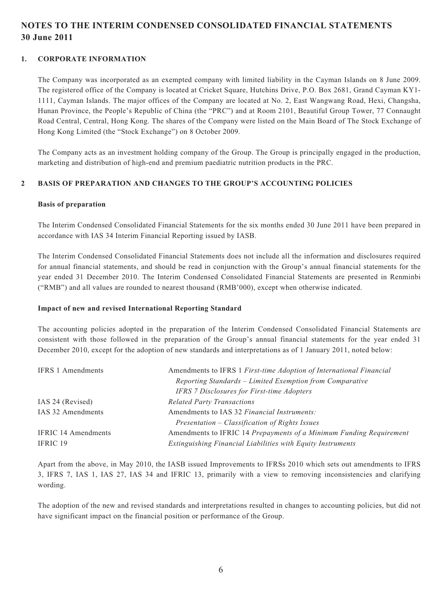# **NOTES TO THE INTERIM CONDENSED CONSOLIDATED FINANCIAL STATEMENTS 30 June 2011**

#### **1. CORPORATE INFORMATION**

The Company was incorporated as an exempted company with limited liability in the Cayman Islands on 8 June 2009. The registered office of the Company is located at Cricket Square, Hutchins Drive, P.O. Box 2681, Grand Cayman KY1- 1111, Cayman Islands. The major offices of the Company are located at No. 2, East Wangwang Road, Hexi, Changsha, Hunan Province, the People's Republic of China (the "PRC") and at Room 2101, Beautiful Group Tower, 77 Connaught Road Central, Central, Hong Kong. The shares of the Company were listed on the Main Board of The Stock Exchange of Hong Kong Limited (the "Stock Exchange") on 8 October 2009.

The Company acts as an investment holding company of the Group. The Group is principally engaged in the production, marketing and distribution of high-end and premium paediatric nutrition products in the PRC.

#### **2 BASIS OF PREPARATION AND CHANGES TO THE GROUP'S ACCOUNTING POLICIES**

#### **Basis of preparation**

The Interim Condensed Consolidated Financial Statements for the six months ended 30 June 2011 have been prepared in accordance with IAS 34 Interim Financial Reporting issued by IASB.

The Interim Condensed Consolidated Financial Statements does not include all the information and disclosures required for annual financial statements, and should be read in conjunction with the Group's annual financial statements for the year ended 31 December 2010. The Interim Condensed Consolidated Financial Statements are presented in Renminbi ("RMB") and all values are rounded to nearest thousand (RMB'000), except when otherwise indicated.

#### **Impact of new and revised International Reporting Standard**

The accounting policies adopted in the preparation of the Interim Condensed Consolidated Financial Statements are consistent with those followed in the preparation of the Group's annual financial statements for the year ended 31 December 2010, except for the adoption of new standards and interpretations as of 1 January 2011, noted below:

| <b>IFRS 1 Amendments</b>   | Amendments to IFRS 1 First-time Adoption of International Financial |
|----------------------------|---------------------------------------------------------------------|
|                            | Reporting Standards - Limited Exemption from Comparative            |
|                            | <b>IFRS 7 Disclosures for First-time Adopters</b>                   |
| IAS 24 (Revised)           | <b>Related Party Transactions</b>                                   |
| IAS 32 Amendments          | Amendments to IAS 32 Financial Instruments:                         |
|                            | Presentation – Classification of Rights Issues                      |
| <b>IFRIC 14 Amendments</b> | Amendments to IFRIC 14 Prepayments of a Minimum Funding Requirement |
| <b>IFRIC 19</b>            | Extinguishing Financial Liabilities with Equity Instruments         |

Apart from the above, in May 2010, the IASB issued Improvements to IFRSs 2010 which sets out amendments to IFRS 3, IFRS 7, IAS 1, IAS 27, IAS 34 and IFRIC 13, primarily with a view to removing inconsistencies and clarifying wording.

The adoption of the new and revised standards and interpretations resulted in changes to accounting policies, but did not have significant impact on the financial position or performance of the Group.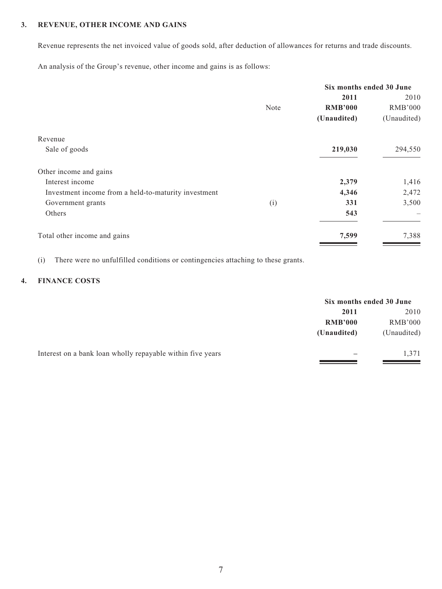#### **3. REVENUE, OTHER INCOME AND GAINS**

Revenue represents the net invoiced value of goods sold, after deduction of allowances for returns and trade discounts.

An analysis of the Group's revenue, other income and gains is as follows:

| Six months ended 30 June |                |                |
|--------------------------|----------------|----------------|
|                          | 2011           | 2010           |
| Note                     | <b>RMB'000</b> | <b>RMB'000</b> |
|                          | (Unaudited)    | (Unaudited)    |
|                          |                |                |
|                          | 219,030        | 294,550        |
|                          |                |                |
|                          | 2,379          | 1,416          |
|                          | 4,346          | 2,472          |
| (i)                      | 331            | 3,500          |
|                          | 543            |                |
|                          | 7,599          | 7,388          |
|                          |                |                |

(i) There were no unfulfilled conditions or contingencies attaching to these grants.

### **4. FINANCE COSTS**

|                                                            | Six months ended 30 June |                |
|------------------------------------------------------------|--------------------------|----------------|
|                                                            | 2011                     | 2010           |
|                                                            | <b>RMB'000</b>           | <b>RMB'000</b> |
|                                                            | (Unaudited)              | (Unaudited)    |
| Interest on a bank loan wholly repayable within five years |                          | 1,371          |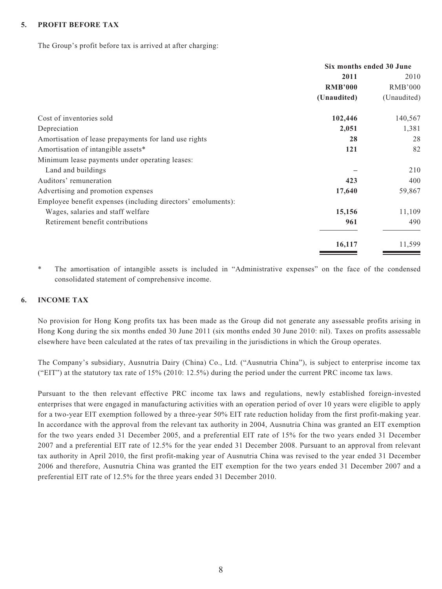#### **5. PROFIT BEFORE TAX**

The Group's profit before tax is arrived at after charging:

|                                                              | Six months ended 30 June |                |
|--------------------------------------------------------------|--------------------------|----------------|
|                                                              | 2011                     | 2010           |
|                                                              | <b>RMB'000</b>           | <b>RMB'000</b> |
|                                                              | (Unaudited)              | (Unaudited)    |
| Cost of inventories sold                                     | 102,446                  | 140,567        |
| Depreciation                                                 | 2,051                    | 1,381          |
| Amortisation of lease prepayments for land use rights        | 28                       | 28             |
| Amortisation of intangible assets*                           | 121                      | 82             |
| Minimum lease payments under operating leases:               |                          |                |
| Land and buildings                                           |                          | 210            |
| Auditors' remuneration                                       | 423                      | 400            |
| Advertising and promotion expenses                           | 17,640                   | 59,867         |
| Employee benefit expenses (including directors' emoluments): |                          |                |
| Wages, salaries and staff welfare                            | 15,156                   | 11,109         |
| Retirement benefit contributions                             | 961                      | 490            |
|                                                              | 16,117                   | 11,599         |

\* The amortisation of intangible assets is included in "Administrative expenses" on the face of the condensed consolidated statement of comprehensive income.

#### **6. INCOME TAX**

No provision for Hong Kong profits tax has been made as the Group did not generate any assessable profits arising in Hong Kong during the six months ended 30 June 2011 (six months ended 30 June 2010: nil). Taxes on profits assessable elsewhere have been calculated at the rates of tax prevailing in the jurisdictions in which the Group operates.

The Company's subsidiary, Ausnutria Dairy (China) Co., Ltd. ("Ausnutria China"), is subject to enterprise income tax ("EIT") at the statutory tax rate of 15% (2010: 12.5%) during the period under the current PRC income tax laws.

Pursuant to the then relevant effective PRC income tax laws and regulations, newly established foreign-invested enterprises that were engaged in manufacturing activities with an operation period of over 10 years were eligible to apply for a two-year EIT exemption followed by a three-year 50% EIT rate reduction holiday from the first profit-making year. In accordance with the approval from the relevant tax authority in 2004, Ausnutria China was granted an EIT exemption for the two years ended 31 December 2005, and a preferential EIT rate of 15% for the two years ended 31 December 2007 and a preferential EIT rate of 12.5% for the year ended 31 December 2008. Pursuant to an approval from relevant tax authority in April 2010, the first profit-making year of Ausnutria China was revised to the year ended 31 December 2006 and therefore, Ausnutria China was granted the EIT exemption for the two years ended 31 December 2007 and a preferential EIT rate of 12.5% for the three years ended 31 December 2010.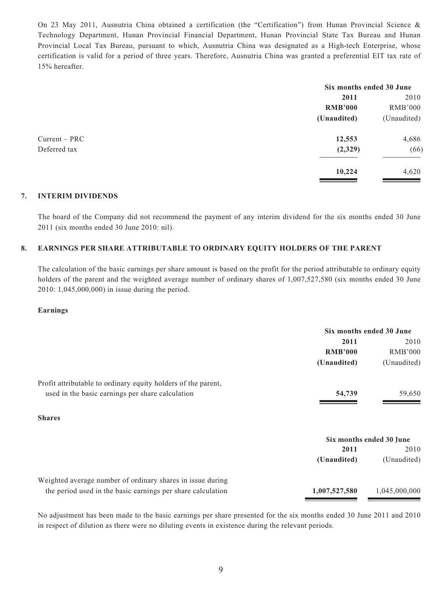On 23 May 2011, Ausnutria China obtained a certification (the "Certification") from Hunan Provincial Science & Technology Department, Hunan Provincial Financial Department, Hunan Provincial State Tax Bureau and Hunan Provincial Local Tax Bureau, pursuant to which, Ausnutria China was designated as a High-tech Enterprise, whose certification is valid for a period of three years. Therefore, Ausnutria China was granted a preferential EIT tax rate of 15% hereafter.

|                 |                | Six months ended 30 June |  |
|-----------------|----------------|--------------------------|--|
|                 | 2011           | 2010                     |  |
|                 | <b>RMB'000</b> | <b>RMB'000</b>           |  |
|                 | (Unaudited)    | (Unaudited)              |  |
| $Current - PRC$ | 12,553         | 4,686                    |  |
| Deferred tax    | (2,329)        | (66)                     |  |
|                 | 10,224         | 4,620                    |  |
|                 |                |                          |  |

#### **7. INTERIM DIVIDENDS**

The board of the Company did not recommend the payment of any interim dividend for the six months ended 30 June 2011 (six months ended 30 June 2010: nil).

#### **8. EARNINGS PER SHARE ATTRIBUTABLE TO ORDINARY EQUITY HOLDERS OF THE PARENT**

The calculation of the basic earnings per share amount is based on the profit for the period attributable to ordinary equity holders of the parent and the weighted average number of ordinary shares of 1,007,527,580 (six months ended 30 June 2010: 1,045,000,000) in issue during the period.

#### **Earnings**

|                                                               | Six months ended 30 June |               |  |
|---------------------------------------------------------------|--------------------------|---------------|--|
|                                                               | 2011                     | 2010          |  |
|                                                               | <b>RMB'000</b>           | RMB'000       |  |
|                                                               | (Unaudited)              | (Unaudited)   |  |
| Profit attributable to ordinary equity holders of the parent, |                          |               |  |
| used in the basic earnings per share calculation              | 54,739                   | 59,650        |  |
|                                                               |                          |               |  |
| <b>Shares</b>                                                 |                          |               |  |
|                                                               | Six months ended 30 June |               |  |
|                                                               | 2011                     | 2010          |  |
|                                                               | (Unaudited)              | (Unaudited)   |  |
| Weighted average number of ordinary shares in issue during    |                          |               |  |
| the period used in the basic earnings per share calculation   | 1,007,527,580            | 1,045,000,000 |  |

No adjustment has been made to the basic earnings per share presented for the six months ended 30 June 2011 and 2010 in respect of dilution as there were no diluting events in existence during the relevant periods.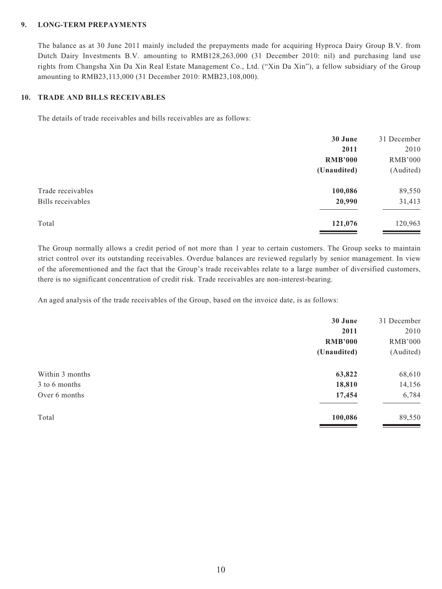#### **9. LONG-TERM PREPAYMENTS**

The balance as at 30 June 2011 mainly included the prepayments made for acquiring Hyproca Dairy Group B.V. from Dutch Dairy Investments B.V. amounting to RMB128,263,000 (31 December 2010: nil) and purchasing land use rights from Changsha Xin Da Xin Real Estate Management Co., Ltd. ("Xin Da Xin"), a fellow subsidiary of the Group amounting to RMB23,113,000 (31 December 2010: RMB23,108,000).

#### **10. TRADE AND BILLS RECEIVABLES**

The details of trade receivables and bills receivables are as follows:

|                   | 30 June        | 31 December    |
|-------------------|----------------|----------------|
|                   | 2011           | 2010           |
|                   | <b>RMB'000</b> | <b>RMB'000</b> |
|                   | (Unaudited)    | (Audited)      |
| Trade receivables | 100,086        | 89,550         |
| Bills receivables | 20,990         | 31,413         |
| Total             | 121,076        | 120,963        |

The Group normally allows a credit period of not more than 1 year to certain customers. The Group seeks to maintain strict control over its outstanding receivables. Overdue balances are reviewed regularly by senior management. In view of the aforementioned and the fact that the Group's trade receivables relate to a large number of diversified customers, there is no significant concentration of credit risk. Trade receivables are non-interest-bearing.

An aged analysis of the trade receivables of the Group, based on the invoice date, is as follows:

| 30 June        | 31 December    |
|----------------|----------------|
| 2011           | 2010           |
| <b>RMB'000</b> | <b>RMB'000</b> |
| (Unaudited)    | (Audited)      |
| 63,822         | 68,610         |
| 18,810         | 14,156         |
| 17,454         | 6,784          |
| 100,086        | 89,550         |
|                |                |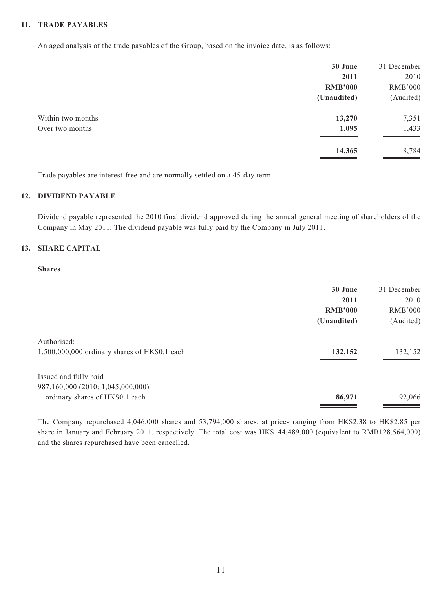#### **11. TRADE PAYABLES**

An aged analysis of the trade payables of the Group, based on the invoice date, is as follows:

|                   | 30 June        | 31 December    |
|-------------------|----------------|----------------|
|                   | 2011           | 2010           |
|                   | <b>RMB'000</b> | <b>RMB'000</b> |
|                   | (Unaudited)    | (Audited)      |
| Within two months | 13,270         | 7,351          |
| Over two months   | 1,095          | 1,433          |
|                   | 14,365         | 8,784          |

Trade payables are interest-free and are normally settled on a 45-day term.

#### **12. DIVIDEND PAYABLE**

Dividend payable represented the 2010 final dividend approved during the annual general meeting of shareholders of the Company in May 2011. The dividend payable was fully paid by the Company in July 2011.

#### **13. SHARE CAPITAL**

#### **Shares**

|                                               | 30 June        | 31 December |
|-----------------------------------------------|----------------|-------------|
|                                               | 2011           | 2010        |
|                                               | <b>RMB'000</b> | RMB'000     |
|                                               | (Unaudited)    | (Audited)   |
| Authorised:                                   |                |             |
| 1,500,000,000 ordinary shares of HK\$0.1 each | 132,152        | 132,152     |
| Issued and fully paid                         |                |             |
| 987,160,000 (2010: 1,045,000,000)             |                |             |
| ordinary shares of HK\$0.1 each               | 86,971         | 92,066      |
|                                               |                |             |

The Company repurchased 4,046,000 shares and 53,794,000 shares, at prices ranging from HK\$2.38 to HK\$2.85 per share in January and February 2011, respectively. The total cost was HK\$144,489,000 (equivalent to RMB128,564,000) and the shares repurchased have been cancelled.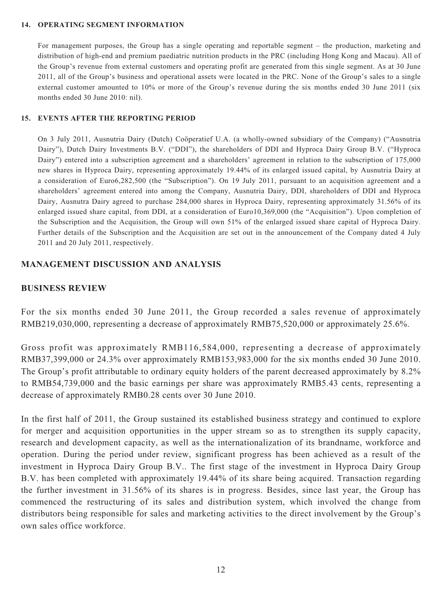#### **14. OPERATING SEGMENT INFORMATION**

For management purposes, the Group has a single operating and reportable segment – the production, marketing and distribution of high-end and premium paediatric nutrition products in the PRC (including Hong Kong and Macau). All of the Group's revenue from external customers and operating profit are generated from this single segment. As at 30 June 2011, all of the Group's business and operational assets were located in the PRC. None of the Group's sales to a single external customer amounted to 10% or more of the Group's revenue during the six months ended 30 June 2011 (six months ended 30 June 2010: nil).

#### **15. EVENTS AFTER THE REPORTING PERIOD**

On 3 July 2011, Ausnutria Dairy (Dutch) Coöperatief U.A. (a wholly-owned subsidiary of the Company) ("Ausnutria Dairy"), Dutch Dairy Investments B.V. ("DDI"), the shareholders of DDI and Hyproca Dairy Group B.V. ("Hyproca Dairy") entered into a subscription agreement and a shareholders' agreement in relation to the subscription of 175,000 new shares in Hyproca Dairy, representing approximately 19.44% of its enlarged issued capital, by Ausnutria Dairy at a consideration of Euro6,282,500 (the "Subscription"). On 19 July 2011, pursuant to an acquisition agreement and a shareholders' agreement entered into among the Company, Ausnutria Dairy, DDI, shareholders of DDI and Hyproca Dairy, Ausnutra Dairy agreed to purchase 284,000 shares in Hyproca Dairy, representing approximately 31.56% of its enlarged issued share capital, from DDI, at a consideration of Euro10,369,000 (the "Acquisition"). Upon completion of the Subscription and the Acquisition, the Group will own 51% of the enlarged issued share capital of Hyproca Dairy. Further details of the Subscription and the Acquisition are set out in the announcement of the Company dated 4 July 2011 and 20 July 2011, respectively.

#### **MANAGEMENT DISCUSSION AND ANALYSIS**

#### **BUSINESS REVIEW**

For the six months ended 30 June 2011, the Group recorded a sales revenue of approximately RMB219,030,000, representing a decrease of approximately RMB75,520,000 or approximately 25.6%.

Gross profit was approximately RMB116,584,000, representing a decrease of approximately RMB37,399,000 or 24.3% over approximately RMB153,983,000 for the six months ended 30 June 2010. The Group's profit attributable to ordinary equity holders of the parent decreased approximately by 8.2% to RMB54,739,000 and the basic earnings per share was approximately RMB5.43 cents, representing a decrease of approximately RMB0.28 cents over 30 June 2010.

In the first half of 2011, the Group sustained its established business strategy and continued to explore for merger and acquisition opportunities in the upper stream so as to strengthen its supply capacity, research and development capacity, as well as the internationalization of its brandname, workforce and operation. During the period under review, significant progress has been achieved as a result of the investment in Hyproca Dairy Group B.V.. The first stage of the investment in Hyproca Dairy Group B.V. has been completed with approximately 19.44% of its share being acquired. Transaction regarding the further investment in 31.56% of its shares is in progress. Besides, since last year, the Group has commenced the restructuring of its sales and distribution system, which involved the change from distributors being responsible for sales and marketing activities to the direct involvement by the Group's own sales office workforce.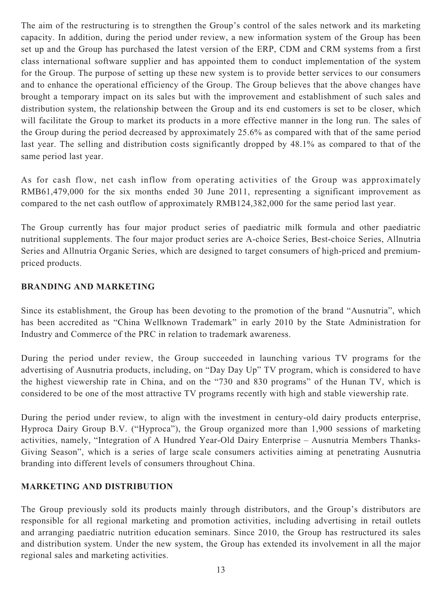The aim of the restructuring is to strengthen the Group's control of the sales network and its marketing capacity. In addition, during the period under review, a new information system of the Group has been set up and the Group has purchased the latest version of the ERP, CDM and CRM systems from a first class international software supplier and has appointed them to conduct implementation of the system for the Group. The purpose of setting up these new system is to provide better services to our consumers and to enhance the operational efficiency of the Group. The Group believes that the above changes have brought a temporary impact on its sales but with the improvement and establishment of such sales and distribution system, the relationship between the Group and its end customers is set to be closer, which will facilitate the Group to market its products in a more effective manner in the long run. The sales of the Group during the period decreased by approximately 25.6% as compared with that of the same period last year. The selling and distribution costs significantly dropped by 48.1% as compared to that of the same period last year.

As for cash flow, net cash inflow from operating activities of the Group was approximately RMB61,479,000 for the six months ended 30 June 2011, representing a significant improvement as compared to the net cash outflow of approximately RMB124,382,000 for the same period last year.

The Group currently has four major product series of paediatric milk formula and other paediatric nutritional supplements. The four major product series are A-choice Series, Best-choice Series, Allnutria Series and Allnutria Organic Series, which are designed to target consumers of high-priced and premiumpriced products.

### **BRANDING AND MARKETING**

Since its establishment, the Group has been devoting to the promotion of the brand "Ausnutria", which has been accredited as "China Wellknown Trademark" in early 2010 by the State Administration for Industry and Commerce of the PRC in relation to trademark awareness.

During the period under review, the Group succeeded in launching various TV programs for the advertising of Ausnutria products, including, on "Day Day Up" TV program, which is considered to have the highest viewership rate in China, and on the "730 and 830 programs" of the Hunan TV, which is considered to be one of the most attractive TV programs recently with high and stable viewership rate.

During the period under review, to align with the investment in century-old dairy products enterprise, Hyproca Dairy Group B.V. ("Hyproca"), the Group organized more than 1,900 sessions of marketing activities, namely, "Integration of A Hundred Year-Old Dairy Enterprise – Ausnutria Members Thanks-Giving Season", which is a series of large scale consumers activities aiming at penetrating Ausnutria branding into different levels of consumers throughout China.

### **MARKETING AND DISTRIBUTION**

The Group previously sold its products mainly through distributors, and the Group's distributors are responsible for all regional marketing and promotion activities, including advertising in retail outlets and arranging paediatric nutrition education seminars. Since 2010, the Group has restructured its sales and distribution system. Under the new system, the Group has extended its involvement in all the major regional sales and marketing activities.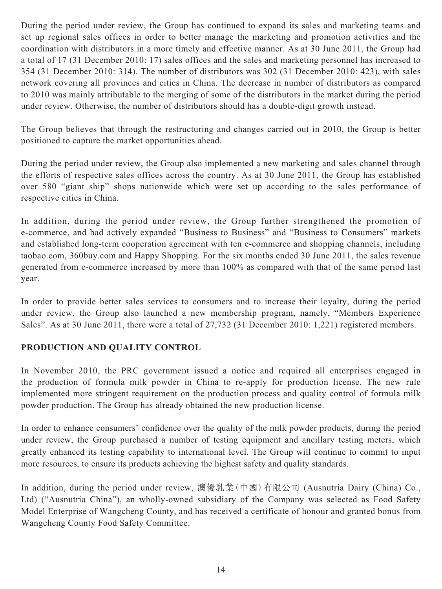During the period under review, the Group has continued to expand its sales and marketing teams and set up regional sales offices in order to better manage the marketing and promotion activities and the coordination with distributors in a more timely and effective manner. As at 30 June 2011, the Group had a total of 17 (31 December 2010: 17) sales offices and the sales and marketing personnel has increased to 354 (31 December 2010: 314). The number of distributors was 302 (31 December 2010: 423), with sales network covering all provinces and cities in China. The decrease in number of distributors as compared to 2010 was mainly attributable to the merging of some of the distributors in the market during the period under review. Otherwise, the number of distributors should has a double-digit growth instead.

The Group believes that through the restructuring and changes carried out in 2010, the Group is better positioned to capture the market opportunities ahead.

During the period under review, the Group also implemented a new marketing and sales channel through the efforts of respective sales offices across the country. As at 30 June 2011, the Group has established over 580 "giant ship" shops nationwide which were set up according to the sales performance of respective cities in China.

In addition, during the period under review, the Group further strengthened the promotion of e-commerce, and had actively expanded "Business to Business" and "Business to Consumers" markets and established long-term cooperation agreement with ten e-commerce and shopping channels, including taobao.com, 360buy.com and Happy Shopping. For the six months ended 30 June 2011, the sales revenue generated from e-commerce increased by more than 100% as compared with that of the same period last year.

In order to provide better sales services to consumers and to increase their loyalty, during the period under review, the Group also launched a new membership program, namely, "Members Experience Sales". As at 30 June 2011, there were a total of 27,732 (31 December 2010: 1,221) registered members.

# **PRODUCTION AND QUALITY CONTROL**

In November 2010, the PRC government issued a notice and required all enterprises engaged in the production of formula milk powder in China to re-apply for production license. The new rule implemented more stringent requirement on the production process and quality control of formula milk powder production. The Group has already obtained the new production license.

In order to enhance consumers' confidence over the quality of the milk powder products, during the period under review, the Group purchased a number of testing equipment and ancillary testing meters, which greatly enhanced its testing capability to international level. The Group will continue to commit to input more resources, to ensure its products achieving the highest safety and quality standards.

In addition, during the period under review, 澳優乳業(中國)有限公司 (Ausnutria Dairy (China) Co., Ltd) ("Ausnutria China"), an wholly-owned subsidiary of the Company was selected as Food Safety Model Enterprise of Wangcheng County, and has received a certificate of honour and granted bonus from Wangcheng County Food Safety Committee.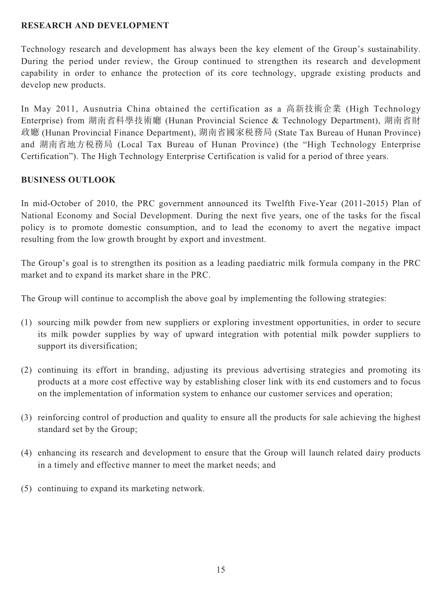### **RESEARCH AND DEVELOPMENT**

Technology research and development has always been the key element of the Group's sustainability. During the period under review, the Group continued to strengthen its research and development capability in order to enhance the protection of its core technology, upgrade existing products and develop new products.

In May 2011, Ausnutria China obtained the certification as a 高新技術企業 (High Technology Enterprise) from 湖南省科學技術廳 (Hunan Provincial Science & Technology Department), 湖南省財 政廳 (Hunan Provincial Finance Department), 湖南省國家稅務局 (State Tax Bureau of Hunan Province) and 湖南省地方稅務局 (Local Tax Bureau of Hunan Province) (the "High Technology Enterprise Certification"). The High Technology Enterprise Certification is valid for a period of three years.

### **BUSINESS OUTLOOK**

In mid-October of 2010, the PRC government announced its Twelfth Five-Year (2011-2015) Plan of National Economy and Social Development. During the next five years, one of the tasks for the fiscal policy is to promote domestic consumption, and to lead the economy to avert the negative impact resulting from the low growth brought by export and investment.

The Group's goal is to strengthen its position as a leading paediatric milk formula company in the PRC market and to expand its market share in the PRC.

The Group will continue to accomplish the above goal by implementing the following strategies:

- (1) sourcing milk powder from new suppliers or exploring investment opportunities, in order to secure its milk powder supplies by way of upward integration with potential milk powder suppliers to support its diversification;
- (2) continuing its effort in branding, adjusting its previous advertising strategies and promoting its products at a more cost effective way by establishing closer link with its end customers and to focus on the implementation of information system to enhance our customer services and operation;
- (3) reinforcing control of production and quality to ensure all the products for sale achieving the highest standard set by the Group;
- (4) enhancing its research and development to ensure that the Group will launch related dairy products in a timely and effective manner to meet the market needs; and
- (5) continuing to expand its marketing network.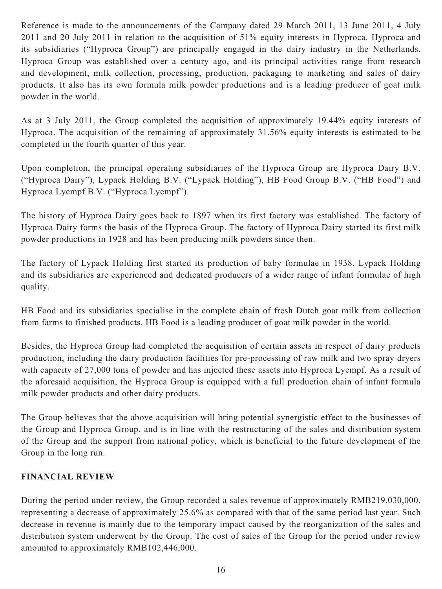Reference is made to the announcements of the Company dated 29 March 2011, 13 June 2011, 4 July 2011 and 20 July 2011 in relation to the acquisition of 51% equity interests in Hyproca. Hyproca and its subsidiaries ("Hyproca Group") are principally engaged in the dairy industry in the Netherlands. Hyproca Group was established over a century ago, and its principal activities range from research and development, milk collection, processing, production, packaging to marketing and sales of dairy products. It also has its own formula milk powder productions and is a leading producer of goat milk powder in the world.

As at 3 July 2011, the Group completed the acquisition of approximately 19.44% equity interests of Hyproca. The acquisition of the remaining of approximately 31.56% equity interests is estimated to be completed in the fourth quarter of this year.

Upon completion, the principal operating subsidiaries of the Hyproca Group are Hyproca Dairy B.V. ("Hyproca Dairy"), Lypack Holding B.V. ("Lypack Holding"), HB Food Group B.V. ("HB Food") and Hyproca Lyempf B.V. ("Hyproca Lyempf").

The history of Hyproca Dairy goes back to 1897 when its first factory was established. The factory of Hyproca Dairy forms the basis of the Hyproca Group. The factory of Hyproca Dairy started its first milk powder productions in 1928 and has been producing milk powders since then.

The factory of Lypack Holding first started its production of baby formulae in 1938. Lypack Holding and its subsidiaries are experienced and dedicated producers of a wider range of infant formulae of high quality.

HB Food and its subsidiaries specialise in the complete chain of fresh Dutch goat milk from collection from farms to finished products. HB Food is a leading producer of goat milk powder in the world.

Besides, the Hyproca Group had completed the acquisition of certain assets in respect of dairy products production, including the dairy production facilities for pre-processing of raw milk and two spray dryers with capacity of 27,000 tons of powder and has injected these assets into Hyproca Lyempf. As a result of the aforesaid acquisition, the Hyproca Group is equipped with a full production chain of infant formula milk powder products and other dairy products.

The Group believes that the above acquisition will bring potential synergistic effect to the businesses of the Group and Hyproca Group, and is in line with the restructuring of the sales and distribution system of the Group and the support from national policy, which is beneficial to the future development of the Group in the long run.

# **FINANCIAL REVIEW**

During the period under review, the Group recorded a sales revenue of approximately RMB219,030,000, representing a decrease of approximately 25.6% as compared with that of the same period last year. Such decrease in revenue is mainly due to the temporary impact caused by the reorganization of the sales and distribution system underwent by the Group. The cost of sales of the Group for the period under review amounted to approximately RMB102,446,000.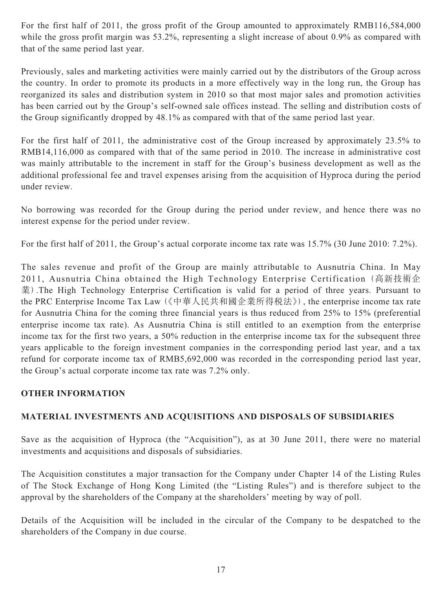For the first half of 2011, the gross profit of the Group amounted to approximately RMB116,584,000 while the gross profit margin was 53.2%, representing a slight increase of about 0.9% as compared with that of the same period last year.

Previously, sales and marketing activities were mainly carried out by the distributors of the Group across the country. In order to promote its products in a more effectively way in the long run, the Group has reorganized its sales and distribution system in 2010 so that most major sales and promotion activities has been carried out by the Group's self-owned sale offices instead. The selling and distribution costs of the Group significantly dropped by 48.1% as compared with that of the same period last year.

For the first half of 2011, the administrative cost of the Group increased by approximately 23.5% to RMB14,116,000 as compared with that of the same period in 2010. The increase in administrative cost was mainly attributable to the increment in staff for the Group's business development as well as the additional professional fee and travel expenses arising from the acquisition of Hyproca during the period under review.

No borrowing was recorded for the Group during the period under review, and hence there was no interest expense for the period under review.

For the first half of 2011, the Group's actual corporate income tax rate was 15.7% (30 June 2010: 7.2%).

The sales revenue and profit of the Group are mainly attributable to Ausnutria China. In May 2011, Ausnutria China obtained the High Technology Enterprise Certification (高新技術企 業).The High Technology Enterprise Certification is valid for a period of three years. Pursuant to the PRC Enterprise Income Tax Law (《中華人民共和國企業所得稅法》), the enterprise income tax rate for Ausnutria China for the coming three financial years is thus reduced from 25% to 15% (preferential enterprise income tax rate). As Ausnutria China is still entitled to an exemption from the enterprise income tax for the first two years, a 50% reduction in the enterprise income tax for the subsequent three years applicable to the foreign investment companies in the corresponding period last year, and a tax refund for corporate income tax of RMB5,692,000 was recorded in the corresponding period last year, the Group's actual corporate income tax rate was 7.2% only.

# **OTHER INFORMATION**

### **MATERIAL INVESTMENTS AND ACQUISITIONS AND DISPOSALS OF SUBSIDIARIES**

Save as the acquisition of Hyproca (the "Acquisition"), as at 30 June 2011, there were no material investments and acquisitions and disposals of subsidiaries.

The Acquisition constitutes a major transaction for the Company under Chapter 14 of the Listing Rules of The Stock Exchange of Hong Kong Limited (the "Listing Rules") and is therefore subject to the approval by the shareholders of the Company at the shareholders' meeting by way of poll.

Details of the Acquisition will be included in the circular of the Company to be despatched to the shareholders of the Company in due course.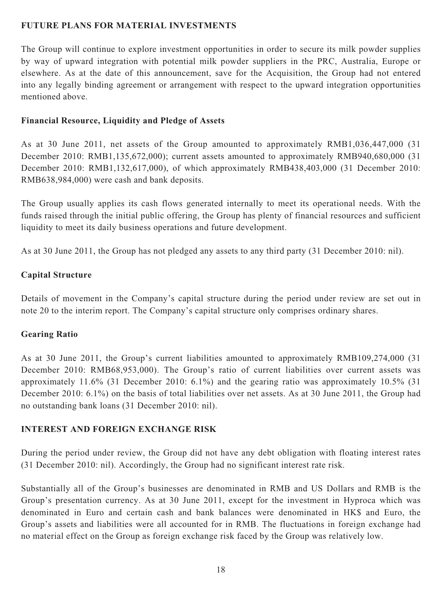### **FUTURE PLANS FOR MATERIAL INVESTMENTS**

The Group will continue to explore investment opportunities in order to secure its milk powder supplies by way of upward integration with potential milk powder suppliers in the PRC, Australia, Europe or elsewhere. As at the date of this announcement, save for the Acquisition, the Group had not entered into any legally binding agreement or arrangement with respect to the upward integration opportunities mentioned above.

### **Financial Resource, Liquidity and Pledge of Assets**

As at 30 June 2011, net assets of the Group amounted to approximately RMB1,036,447,000 (31 December 2010: RMB1,135,672,000); current assets amounted to approximately RMB940,680,000 (31 December 2010: RMB1,132,617,000), of which approximately RMB438,403,000 (31 December 2010: RMB638,984,000) were cash and bank deposits.

The Group usually applies its cash flows generated internally to meet its operational needs. With the funds raised through the initial public offering, the Group has plenty of financial resources and sufficient liquidity to meet its daily business operations and future development.

As at 30 June 2011, the Group has not pledged any assets to any third party (31 December 2010: nil).

### **Capital Structure**

Details of movement in the Company's capital structure during the period under review are set out in note 20 to the interim report. The Company's capital structure only comprises ordinary shares.

# **Gearing Ratio**

As at 30 June 2011, the Group's current liabilities amounted to approximately RMB109,274,000 (31 December 2010: RMB68,953,000). The Group's ratio of current liabilities over current assets was approximately 11.6% (31 December 2010: 6.1%) and the gearing ratio was approximately 10.5% (31 December 2010: 6.1%) on the basis of total liabilities over net assets. As at 30 June 2011, the Group had no outstanding bank loans (31 December 2010: nil).

# **INTEREST AND FOREIGN EXCHANGE RISK**

During the period under review, the Group did not have any debt obligation with floating interest rates (31 December 2010: nil). Accordingly, the Group had no significant interest rate risk.

Substantially all of the Group's businesses are denominated in RMB and US Dollars and RMB is the Group's presentation currency. As at 30 June 2011, except for the investment in Hyproca which was denominated in Euro and certain cash and bank balances were denominated in HK\$ and Euro, the Group's assets and liabilities were all accounted for in RMB. The fluctuations in foreign exchange had no material effect on the Group as foreign exchange risk faced by the Group was relatively low.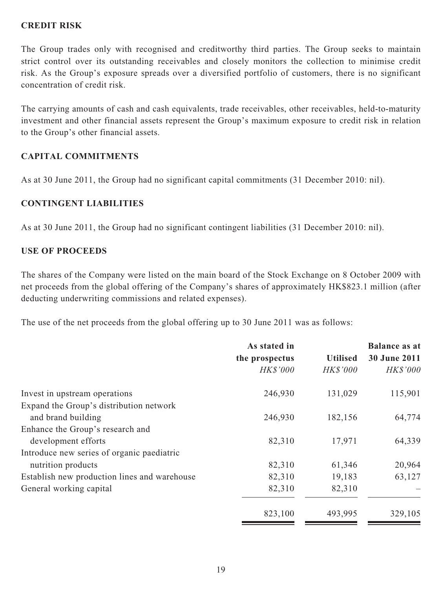### **CREDIT RISK**

The Group trades only with recognised and creditworthy third parties. The Group seeks to maintain strict control over its outstanding receivables and closely monitors the collection to minimise credit risk. As the Group's exposure spreads over a diversified portfolio of customers, there is no significant concentration of credit risk.

The carrying amounts of cash and cash equivalents, trade receivables, other receivables, held-to-maturity investment and other financial assets represent the Group's maximum exposure to credit risk in relation to the Group's other financial assets.

### **CAPITAL COMMITMENTS**

As at 30 June 2011, the Group had no significant capital commitments (31 December 2010: nil).

### **CONTINGENT LIABILITIES**

As at 30 June 2011, the Group had no significant contingent liabilities (31 December 2010: nil).

### **USE OF PROCEEDS**

The shares of the Company were listed on the main board of the Stock Exchange on 8 October 2009 with net proceeds from the global offering of the Company's shares of approximately HK\$823.1 million (after deducting underwriting commissions and related expenses).

The use of the net proceeds from the global offering up to 30 June 2011 was as follows:

|                                              | As stated in    |                 | <b>Balance as at</b><br>30 June 2011 |
|----------------------------------------------|-----------------|-----------------|--------------------------------------|
|                                              | the prospectus  | <b>Utilised</b> |                                      |
|                                              | <b>HK\$'000</b> | <b>HK\$'000</b> | HK\$'000                             |
| Invest in upstream operations                | 246,930         | 131,029         | 115,901                              |
| Expand the Group's distribution network      |                 |                 |                                      |
| and brand building                           | 246,930         | 182,156         | 64,774                               |
| Enhance the Group's research and             |                 |                 |                                      |
| development efforts                          | 82,310          | 17,971          | 64,339                               |
| Introduce new series of organic paediatric   |                 |                 |                                      |
| nutrition products                           | 82,310          | 61,346          | 20,964                               |
| Establish new production lines and warehouse | 82,310          | 19,183          | 63,127                               |
| General working capital                      | 82,310          | 82,310          |                                      |
|                                              | 823,100         | 493,995         | 329,105                              |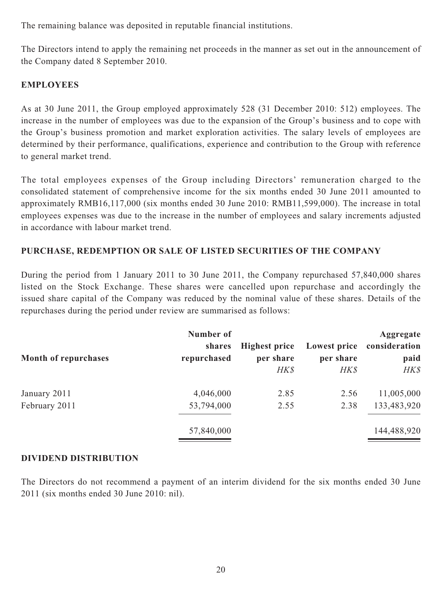The remaining balance was deposited in reputable financial institutions.

The Directors intend to apply the remaining net proceeds in the manner as set out in the announcement of the Company dated 8 September 2010.

## **EMPLOYEES**

As at 30 June 2011, the Group employed approximately 528 (31 December 2010: 512) employees. The increase in the number of employees was due to the expansion of the Group's business and to cope with the Group's business promotion and market exploration activities. The salary levels of employees are determined by their performance, qualifications, experience and contribution to the Group with reference to general market trend.

The total employees expenses of the Group including Directors' remuneration charged to the consolidated statement of comprehensive income for the six months ended 30 June 2011 amounted to approximately RMB16,117,000 (six months ended 30 June 2010: RMB11,599,000). The increase in total employees expenses was due to the increase in the number of employees and salary increments adjusted in accordance with labour market trend.

### **PURCHASE, REDEMPTION OR SALE OF LISTED SECURITIES OF THE COMPANY**

During the period from 1 January 2011 to 30 June 2011, the Company repurchased 57,840,000 shares listed on the Stock Exchange. These shares were cancelled upon repurchase and accordingly the issued share capital of the Company was reduced by the nominal value of these shares. Details of the repurchases during the period under review are summarised as follows:

| <b>Month of repurchases</b> | Number of<br>shares<br>repurchased | <b>Highest price</b><br>per share<br>HK\$ | Lowest price<br>per share<br>HK\$ | Aggregate<br>consideration<br>paid<br>HK\$ |
|-----------------------------|------------------------------------|-------------------------------------------|-----------------------------------|--------------------------------------------|
| January 2011                | 4,046,000                          | 2.85                                      | 2.56                              | 11,005,000                                 |
| February 2011               | 53,794,000                         | 2.55                                      | 2.38                              | 133,483,920                                |
|                             | 57,840,000                         |                                           |                                   | 144,488,920                                |

### **DIVIDEND DISTRIBUTION**

The Directors do not recommend a payment of an interim dividend for the six months ended 30 June 2011 (six months ended 30 June 2010: nil).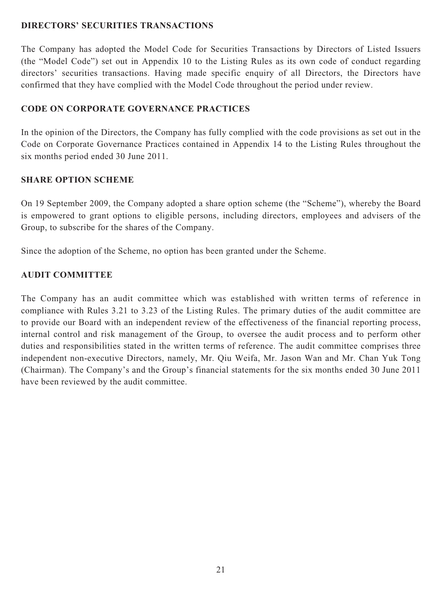### **DIRECTORS' SECURITIES TRANSACTIONS**

The Company has adopted the Model Code for Securities Transactions by Directors of Listed Issuers (the "Model Code") set out in Appendix 10 to the Listing Rules as its own code of conduct regarding directors' securities transactions. Having made specific enquiry of all Directors, the Directors have confirmed that they have complied with the Model Code throughout the period under review.

## **CODE ON CORPORATE GOVERNANCE PRACTICES**

In the opinion of the Directors, the Company has fully complied with the code provisions as set out in the Code on Corporate Governance Practices contained in Appendix 14 to the Listing Rules throughout the six months period ended 30 June 2011.

### **SHARE OPTION SCHEME**

On 19 September 2009, the Company adopted a share option scheme (the "Scheme"), whereby the Board is empowered to grant options to eligible persons, including directors, employees and advisers of the Group, to subscribe for the shares of the Company.

Since the adoption of the Scheme, no option has been granted under the Scheme.

### **AUDIT COMMITTEE**

The Company has an audit committee which was established with written terms of reference in compliance with Rules 3.21 to 3.23 of the Listing Rules. The primary duties of the audit committee are to provide our Board with an independent review of the effectiveness of the financial reporting process, internal control and risk management of the Group, to oversee the audit process and to perform other duties and responsibilities stated in the written terms of reference. The audit committee comprises three independent non-executive Directors, namely, Mr. Qiu Weifa, Mr. Jason Wan and Mr. Chan Yuk Tong (Chairman). The Company's and the Group's financial statements for the six months ended 30 June 2011 have been reviewed by the audit committee.